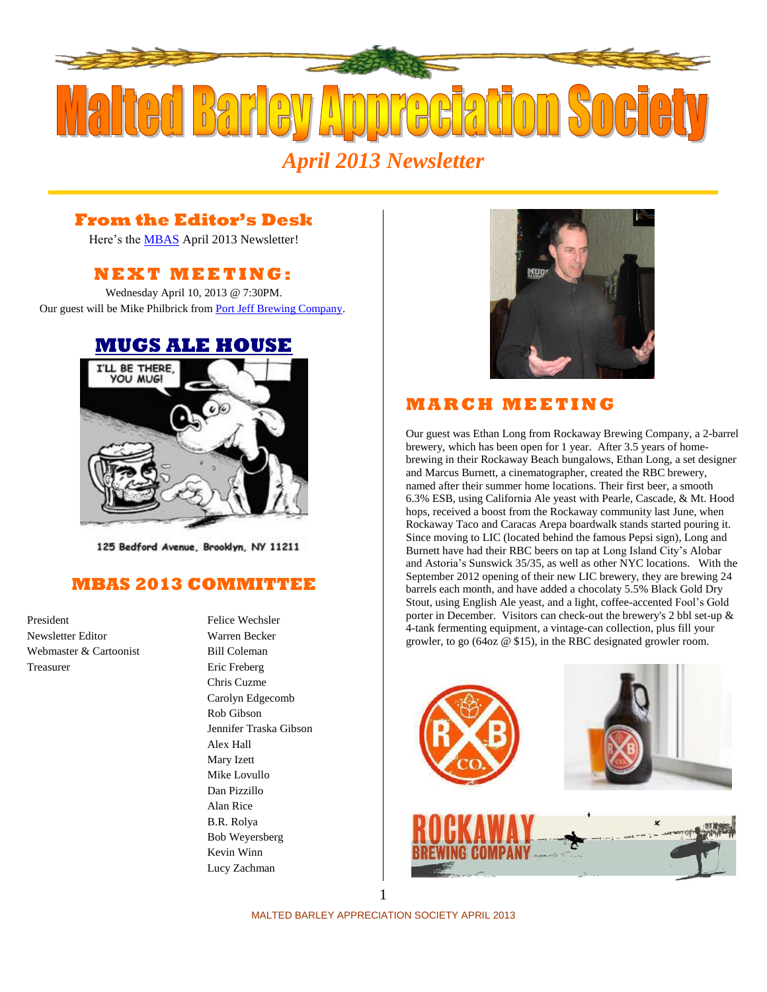

### **From the Editor's Desk**

Here's the **MBAS** April 2013 Newsletter!

#### **N E X T M E ETI N G :**

Wednesday April 10, 2013 @ 7:30PM. Our guest will be Mike Philbrick from [Port Jeff Brewing Company.](http://www.portjeffbrewing.com/)

## **[MUGS ALE HOUSE](http://www.mugsalehouse.com/)**



125 Bedford Avenue, Brooklyn, NY 11211

#### **MBAS 2013 COMMITTEE**

President Felice Wechsler Newsletter Editor Warren Becker Webmaster & Cartoonist Bill Coleman Treasurer Eric Freberg

Chris Cuzme Carolyn Edgecomb Rob Gibson Jennifer Traska Gibson Alex Hall Mary Izett Mike Lovullo Dan Pizzillo Alan Rice B.R. Rolya Bob Weyersberg Kevin Winn Lucy Zachman



## **M A R C H M E E T I N G**

Our guest was Ethan Long from [Rockaway Brewing Company,](http://rockawaybrewco.com/) a 2-barrel brewery, which has been open for 1 year. After 3.5 years of homebrewing in their Rockaway Beach bungalows, Ethan Long, a set designer and Marcus Burnett, a cinematographer, created the RBC brewery, named after their summer home locations. Their first beer, a smooth 6.3% ESB, using California Ale yeast with Pearle, Cascade, & Mt. Hood hops, received a boost from the Rockaway community last June, when [Rockaway Taco](http://www.timeout.com/newyork/restaurants/rockaway-taco) an[d Caracas Arepa](http://www.timeout.com/newyork/restaurants/caracas-arepa-bar) boardwalk stands started pouring it. Since moving to LIC (located behind the famous Pepsi sign), Long and Burnett have had their RBC beers on tap at Long Island City's [Alobar](http://www.timeout.com/newyork/restaurants/alobar) and Astoria'[s Sunswick 35/35,](http://www.timeout.com/newyork/bars/sunswick-35-35) as well as other NYC locations. With the September 2012 opening of their new LIC brewery, they are brewing 24 barrels each month, and have added a chocolaty 5.5% Black Gold Dry Stout, using English Ale yeast, and a light, coffee-accented Fool's Gold porter in December. Visitors can check-out the brewery's 2 bbl set-up & 4-tank fermenting equipment, a vintage-can collection, plus fill your growler, to go (64oz @ \$15), in the RBC designated growler room.



MALTED BARLEY APPRECIATION SOCIETY APRIL 2013